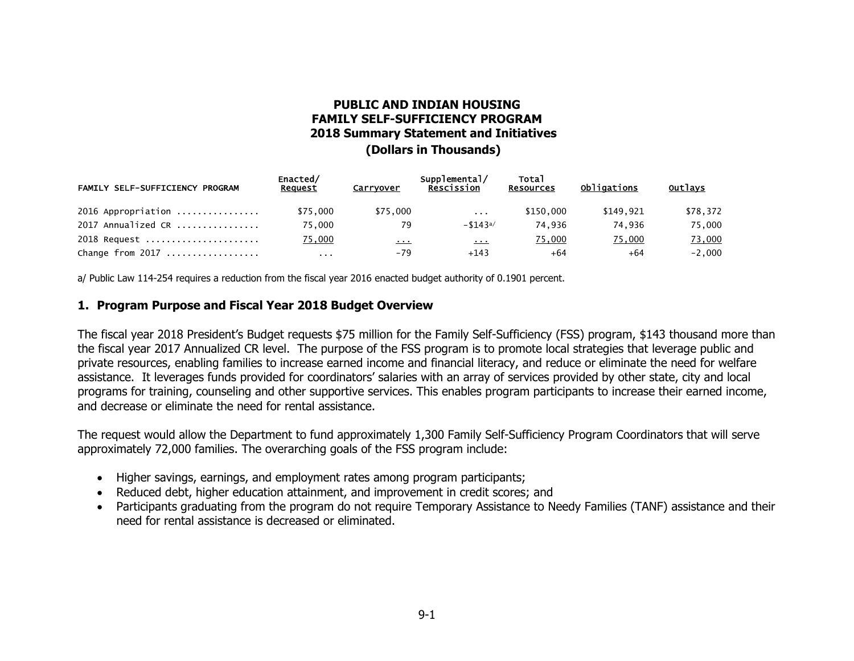# **PUBLIC AND INDIAN HOUSING FAMILY SELF-SUFFICIENCY PROGRAM 2018 Summary Statement and Initiatives (Dollars in Thousands)**

| FAMILY SELF-SUFFICIENCY PROGRAM | Enacted/<br>Request  | Carryover | Supplemental/<br>Rescission | <b>Total</b><br><b>Resources</b> | Obligations | Outlays  |
|---------------------------------|----------------------|-----------|-----------------------------|----------------------------------|-------------|----------|
| $2016$ Appropriation            | \$75.000             | \$75,000  | $\sim$ $\sim$ $\sim$        | \$150,000                        | \$149.921   | \$78,372 |
| $2017$ Annualized CR            | 75.000               | 79        | $- $143a/$                  | 74.936                           | 74.936      | 75,000   |
| 2018 Request                    | 75,000               | $\cdots$  | $\mathbf{r}$ , $\mathbf{r}$ | 75,000                           | 75,000      | 73,000   |
| Change from $2017$              | $\sim$ $\sim$ $\sim$ | -79       | $+143$                      | $+64$                            | +64         | $-2,000$ |

a/ Public Law 114-254 requires a reduction from the fiscal year 2016 enacted budget authority of 0.1901 percent.

#### **1. Program Purpose and Fiscal Year 2018 Budget Overview**

The fiscal year 2018 President's Budget requests \$75 million for the Family Self-Sufficiency (FSS) program, \$143 thousand more than the fiscal year 2017 Annualized CR level. The purpose of the FSS program is to promote local strategies that leverage public and private resources, enabling families to increase earned income and financial literacy, and reduce or eliminate the need for welfare assistance. It leverages funds provided for coordinators' salaries with an array of services provided by other state, city and local programs for training, counseling and other supportive services. This enables program participants to increase their earned income, and decrease or eliminate the need for rental assistance.

The request would allow the Department to fund approximately 1,300 Family Self-Sufficiency Program Coordinators that will serve approximately 72,000 families. The overarching goals of the FSS program include:

- Higher savings, earnings, and employment rates among program participants;
- Reduced debt, higher education attainment, and improvement in credit scores; and
- Participants graduating from the program do not require Temporary Assistance to Needy Families (TANF) assistance and their need for rental assistance is decreased or eliminated.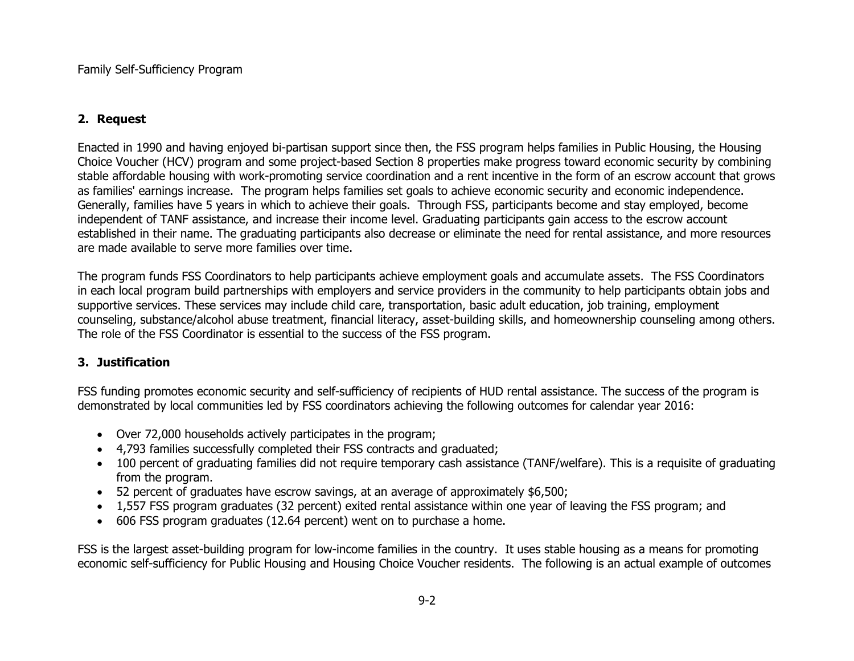### **2. Request**

Enacted in 1990 and having enjoyed bi-partisan support since then, the FSS program helps families in Public Housing, the Housing Choice Voucher (HCV) program and some project-based Section 8 properties make progress toward economic security by combining stable affordable housing with work-promoting service coordination and a rent incentive in the form of an escrow account that grows as families' earnings increase. The program helps families set goals to achieve economic security and economic independence. Generally, families have 5 years in which to achieve their goals. Through FSS, participants become and stay employed, become independent of TANF assistance, and increase their income level. Graduating participants gain access to the escrow account established in their name. The graduating participants also decrease or eliminate the need for rental assistance, and more resources are made available to serve more families over time.

The program funds FSS Coordinators to help participants achieve employment goals and accumulate assets. The FSS Coordinators in each local program build partnerships with employers and service providers in the community to help participants obtain jobs and supportive services. These services may include child care, transportation, basic adult education, job training, employment counseling, substance/alcohol abuse treatment, financial literacy, asset-building skills, and homeownership counseling among others. The role of the FSS Coordinator is essential to the success of the FSS program.

## **3. Justification**

FSS funding promotes economic security and self-sufficiency of recipients of HUD rental assistance. The success of the program is demonstrated by local communities led by FSS coordinators achieving the following outcomes for calendar year 2016:

- Over 72,000 households actively participates in the program;
- 4,793 families successfully completed their FSS contracts and graduated;
- 100 percent of graduating families did not require temporary cash assistance (TANF/welfare). This is a requisite of graduating from the program.
- 52 percent of graduates have escrow savings, at an average of approximately \$6,500;
- 1,557 FSS program graduates (32 percent) exited rental assistance within one year of leaving the FSS program; and
- 606 FSS program graduates (12.64 percent) went on to purchase a home.

FSS is the largest asset-building program for low-income families in the country. It uses stable housing as a means for promoting economic self-sufficiency for Public Housing and Housing Choice Voucher residents. The following is an actual example of outcomes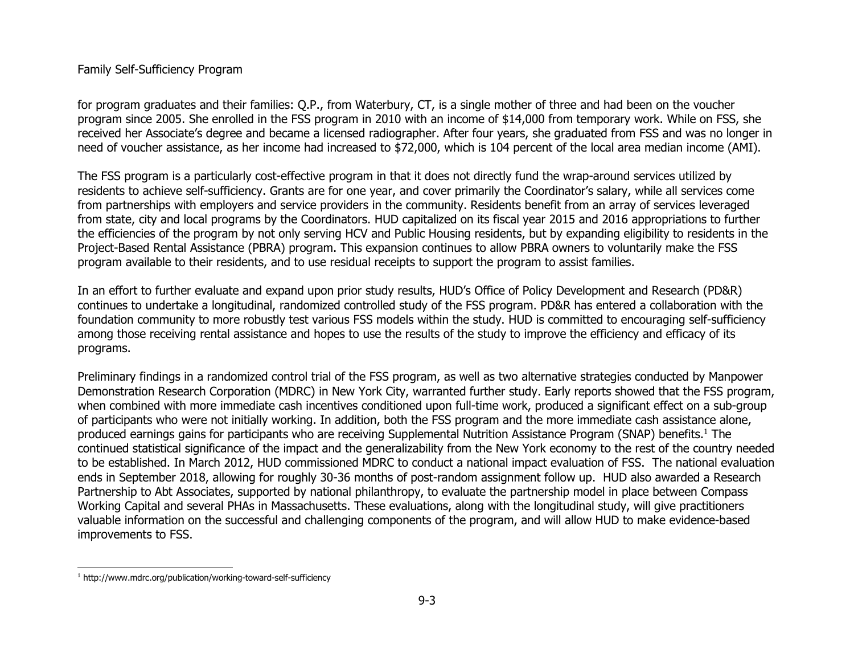### Family Self-Sufficiency Program

for program graduates and their families: Q.P., from Waterbury, CT, is a single mother of three and had been on the voucher program since 2005. She enrolled in the FSS program in 2010 with an income of \$14,000 from temporary work. While on FSS, she received her Associate's degree and became a licensed radiographer. After four years, she graduated from FSS and was no longer in need of voucher assistance, as her income had increased to \$72,000, which is 104 percent of the local area median income (AMI).

The FSS program is a particularly cost-effective program in that it does not directly fund the wrap-around services utilized by residents to achieve self-sufficiency. Grants are for one year, and cover primarily the Coordinator's salary, while all services come from partnerships with employers and service providers in the community. Residents benefit from an array of services leveraged from state, city and local programs by the Coordinators. HUD capitalized on its fiscal year 2015 and 2016 appropriations to further the efficiencies of the program by not only serving HCV and Public Housing residents, but by expanding eligibility to residents in the Project-Based Rental Assistance (PBRA) program. This expansion continues to allow PBRA owners to voluntarily make the FSS program available to their residents, and to use residual receipts to support the program to assist families.

In an effort to further evaluate and expand upon prior study results, HUD's Office of Policy Development and Research (PD&R) continues to undertake a longitudinal, randomized controlled study of the FSS program. PD&R has entered a collaboration with the foundation community to more robustly test various FSS models within the study. HUD is committed to encouraging self-sufficiency among those receiving rental assistance and hopes to use the results of the study to improve the efficiency and efficacy of its programs.

Preliminary findings in a randomized control trial of the FSS program, as well as two alternative strategies conducted by Manpower Demonstration Research Corporation (MDRC) in New York City, warranted further study. Early reports showed that the FSS program, when combined with more immediate cash incentives conditioned upon full-time work, produced a significant effect on a sub-group of participants who were not initially working. In addition, both the FSS program and the more immediate cash assistance alone, produced earnings gains for participants who are receiving Supplemental Nutrition Assistance Program (SNAP) benefits.<sup>1</sup> The continued statistical significance of the impact and the generalizability from the New York economy to the rest of the country needed to be established. In March 2012, HUD commissioned MDRC to conduct a national impact evaluation of FSS. The national evaluation ends in September 2018, allowing for roughly 30-36 months of post-random assignment follow up. HUD also awarded a Research Partnership to Abt Associates, supported by national philanthropy, to evaluate the partnership model in place between Compass Working Capital and several PHAs in Massachusetts. These evaluations, along with the longitudinal study, will give practitioners valuable information on the successful and challenging components of the program, and will allow HUD to make evidence-based improvements to FSS.

<sup>&</sup>lt;sup>1</sup> http://www.mdrc.org/publication/working-toward-self-sufficiency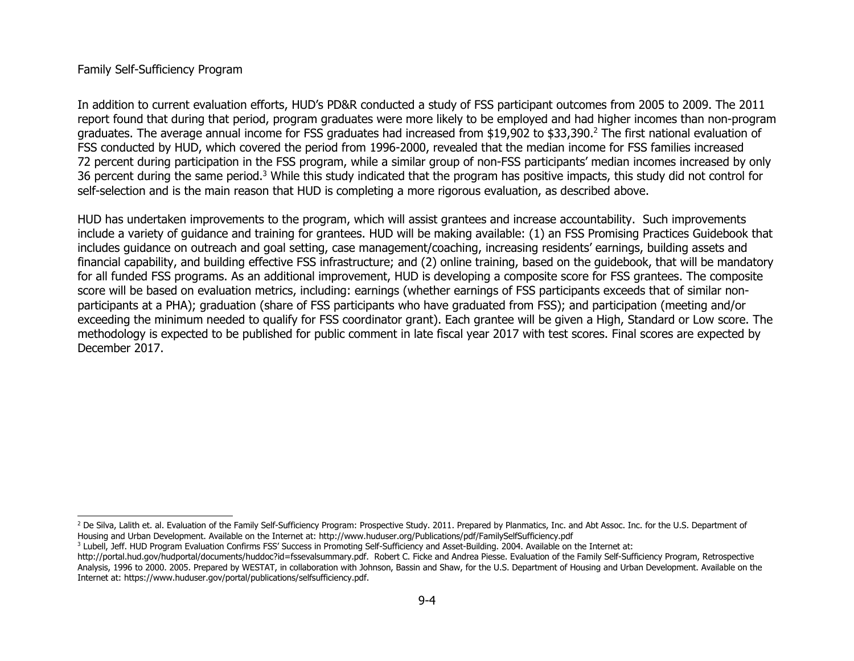#### Family Self-Sufficiency Program

In addition to current evaluation efforts, HUD's PD&R conducted a study of FSS participant outcomes from 2005 to 2009. The 2011 report found that during that period, program graduates were more likely to be employed and had higher incomes than non-program graduates. The average annual income for FSS graduates had increased from \$19,902 to \$33,390.<sup>2</sup> The first national evaluation of FSS conducted by HUD, which covered the period from 1996-2000, revealed that the median income for FSS families increased 72 percent during participation in the FSS program, while a similar group of non-FSS participants' median incomes increased by only 36 percent during the same period.<sup>3</sup> While this study indicated that the program has positive impacts, this study did not control for self-selection and is the main reason that HUD is completing a more rigorous evaluation, as described above.

HUD has undertaken improvements to the program, which will assist grantees and increase accountability. Such improvements include a variety of guidance and training for grantees. HUD will be making available: (1) an FSS Promising Practices Guidebook that includes guidance on outreach and goal setting, case management/coaching, increasing residents' earnings, building assets and financial capability, and building effective FSS infrastructure; and (2) online training, based on the guidebook, that will be mandatory for all funded FSS programs. As an additional improvement, HUD is developing a composite score for FSS grantees. The composite score will be based on evaluation metrics, including: earnings (whether earnings of FSS participants exceeds that of similar nonparticipants at a PHA); graduation (share of FSS participants who have graduated from FSS); and participation (meeting and/or exceeding the minimum needed to qualify for FSS coordinator grant). Each grantee will be given a High, Standard or Low score. The methodology is expected to be published for public comment in late fiscal year 2017 with test scores. Final scores are expected by December 2017.

<sup>&</sup>lt;sup>2</sup> De Silva, Lalith et. al. Evaluation of the Family Self-Sufficiency Program: Prospective Study. 2011. Prepared by Planmatics, Inc. and Abt Assoc. Inc. for the U.S. Department of Housing and Urban Development. Available on the Internet at: http://www.huduser.org/Publications/pdf/FamilySelfSufficiency.pdf

<sup>&</sup>lt;sup>3</sup> Lubell, Jeff. HUD Program Evaluation Confirms FSS' Success in Promoting Self-Sufficiency and Asset-Building. 2004. Available on the Internet at:

http://portal.hud.gov/hudportal/documents/huddoc?id=fssevalsummary.pdf. Robert C. Ficke and Andrea Piesse. Evaluation of the Family Self-Sufficiency Program, Retrospective Analysis, 1996 to 2000. 2005. Prepared by WESTAT, in collaboration with Johnson, Bassin and Shaw, for the U.S. Department of Housing and Urban Development. Available on the Internet at: https://www.huduser.gov/portal/publications/selfsufficiency.pdf.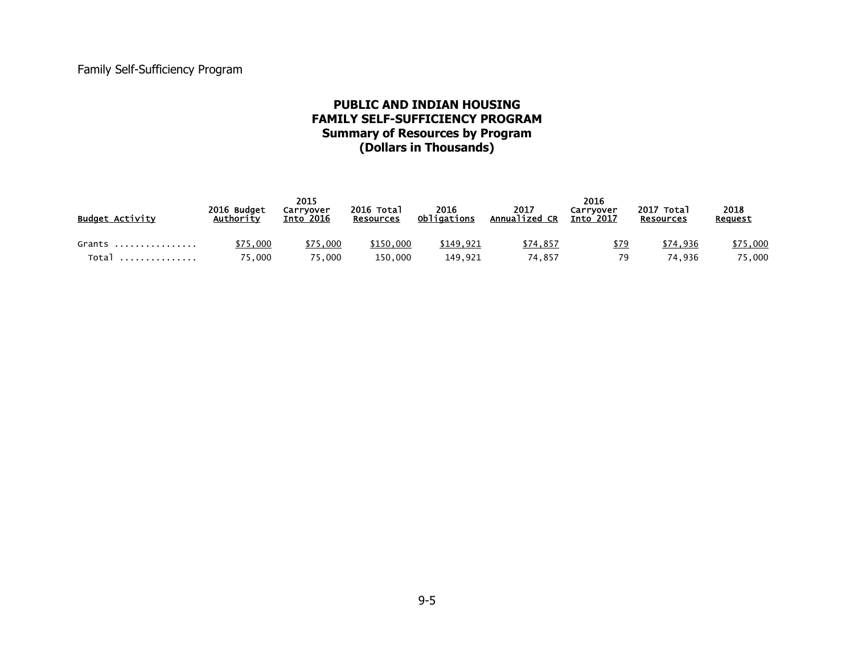### **PUBLIC AND INDIAN HOUSING FAMILY SELF-SUFFICIENCY PROGRAM Summary of Resources by Program (Dollars in Thousands)**

| <b>Budget Activity</b> | 2016 Budget<br>Authority | 2015<br>Carryover<br>$\overline{\phantom{0}}$ Into 2016 | 2016 Total<br><b>Resources</b> | 2016<br>Obligations | 2017<br>Annualized CR | 2016<br>Carryover<br><b>Into 2017</b> | 2017 Total<br><b>Resources</b> | 2018<br>Request |
|------------------------|--------------------------|---------------------------------------------------------|--------------------------------|---------------------|-----------------------|---------------------------------------|--------------------------------|-----------------|
| Grants                 | \$75,000                 | \$75,000                                                | \$150,000                      | \$149.921           | \$74,857              | \$79                                  | \$74.936                       | \$75,000        |
| Total                  | 75,000                   | 75,000                                                  | 150,000                        | 149.921             | 74.857                | 79                                    | 74.936                         | 75,000          |